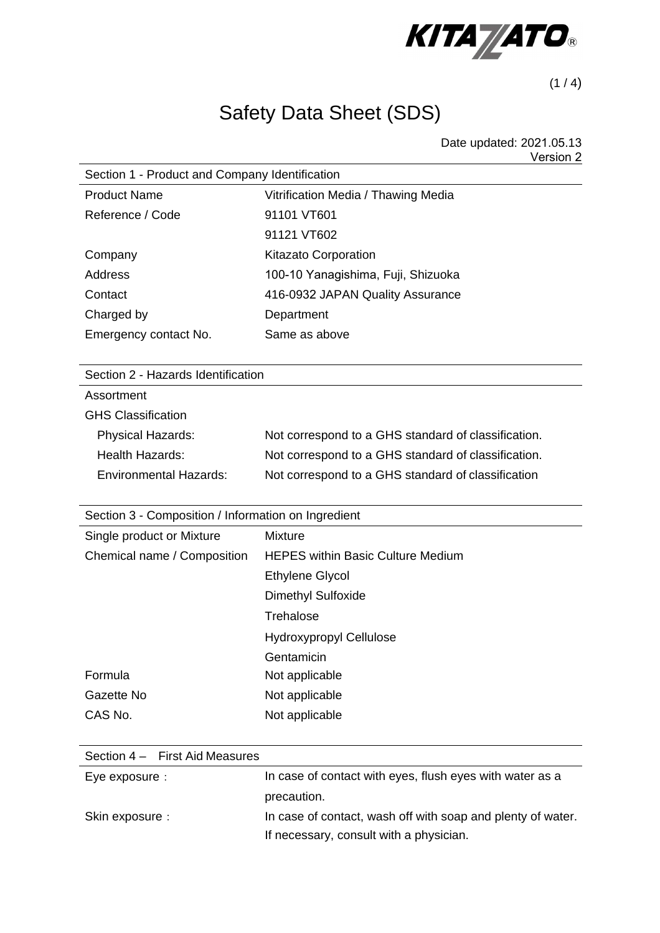

 $(1 / 4)$ 

# Safety Data Sheet (SDS)

Date updated: 2021.05.13 Version 2

| Section 1 - Product and Company Identification |  |  |
|------------------------------------------------|--|--|
| Vitrification Media / Thawing Media            |  |  |
| 91101 VT601                                    |  |  |
| 91121 VT602                                    |  |  |
| <b>Kitazato Corporation</b>                    |  |  |
| 100-10 Yanagishima, Fuji, Shizuoka             |  |  |
| 416-0932 JAPAN Quality Assurance               |  |  |
| Department                                     |  |  |
| Same as above                                  |  |  |
|                                                |  |  |

Section 2 - Hazards Identification

Assortment  $\Omega$ HS  $\Omega$ <sub>s</sub>  $\Omega$ <sup>t</sup>  $\Omega$ <sup>t</sup>

| <b>GHS Classification</b>     |                                                     |
|-------------------------------|-----------------------------------------------------|
| <b>Physical Hazards:</b>      | Not correspond to a GHS standard of classification. |
| <b>Health Hazards:</b>        | Not correspond to a GHS standard of classification. |
| <b>Environmental Hazards:</b> | Not correspond to a GHS standard of classification  |
|                               |                                                     |

| Section 3 - Composition / Information on Ingredient |                                          |  |
|-----------------------------------------------------|------------------------------------------|--|
| Single product or Mixture                           | <b>Mixture</b>                           |  |
| Chemical name / Composition                         | <b>HEPES within Basic Culture Medium</b> |  |
|                                                     | Ethylene Glycol                          |  |
|                                                     | <b>Dimethyl Sulfoxide</b>                |  |
|                                                     | Trehalose                                |  |
|                                                     | <b>Hydroxypropyl Cellulose</b>           |  |
|                                                     | Gentamicin                               |  |
| Formula                                             | Not applicable                           |  |
| Gazette No                                          | Not applicable                           |  |
| CAS No.                                             | Not applicable                           |  |

| Section 4 - First Aid Measures |                                                             |
|--------------------------------|-------------------------------------------------------------|
| Eye exposure :                 | In case of contact with eyes, flush eyes with water as a    |
|                                | precaution.                                                 |
| Skin exposure :                | In case of contact, wash off with soap and plenty of water. |
|                                | If necessary, consult with a physician.                     |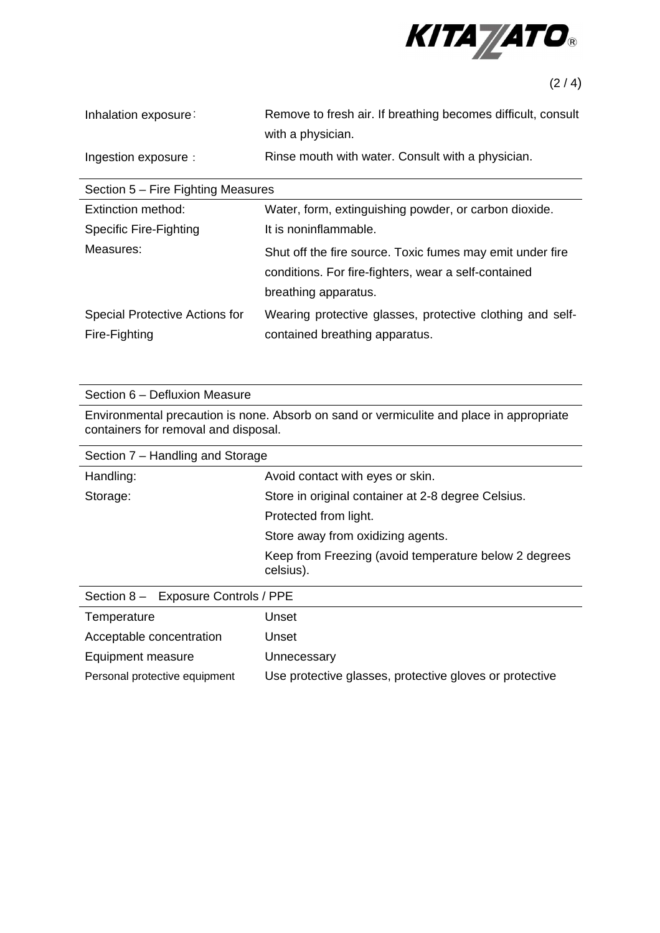

 $(2/4)$ 

| Inhalation exposure: | Remove to fresh air. If breathing becomes difficult, consult |
|----------------------|--------------------------------------------------------------|
|                      | with a physician.                                            |
| Ingestion exposure : | Rinse mouth with water. Consult with a physician.            |

| Section 5 – Fire Fighting Measures |                                                           |  |
|------------------------------------|-----------------------------------------------------------|--|
| Extinction method:                 | Water, form, extinguishing powder, or carbon dioxide.     |  |
| <b>Specific Fire-Fighting</b>      | It is noninflammable.                                     |  |
| Measures:                          | Shut off the fire source. Toxic fumes may emit under fire |  |
|                                    | conditions. For fire-fighters, wear a self-contained      |  |
|                                    | breathing apparatus.                                      |  |
| Special Protective Actions for     | Wearing protective glasses, protective clothing and self- |  |
| Fire-Fighting                      | contained breathing apparatus.                            |  |

Section 6 – Defluxion Measure

Environmental precaution is none. Absorb on sand or vermiculite and place in appropriate containers for removal and disposal.

| Section 7 - Handling and Storage        |                                                                    |
|-----------------------------------------|--------------------------------------------------------------------|
| Handling:                               | Avoid contact with eyes or skin.                                   |
| Storage:                                | Store in original container at 2-8 degree Celsius.                 |
|                                         | Protected from light.                                              |
|                                         | Store away from oxidizing agents.                                  |
|                                         | Keep from Freezing (avoid temperature below 2 degrees<br>celsius). |
| $S (a)$ $R = F$ $M (a)$ $M (b)$ $R = F$ |                                                                    |

| Section 8 - Exposure Controls / PPE |                                                         |  |
|-------------------------------------|---------------------------------------------------------|--|
| Temperature                         | Unset                                                   |  |
| Acceptable concentration            | Unset                                                   |  |
| Equipment measure                   | Unnecessary                                             |  |
| Personal protective equipment       | Use protective glasses, protective gloves or protective |  |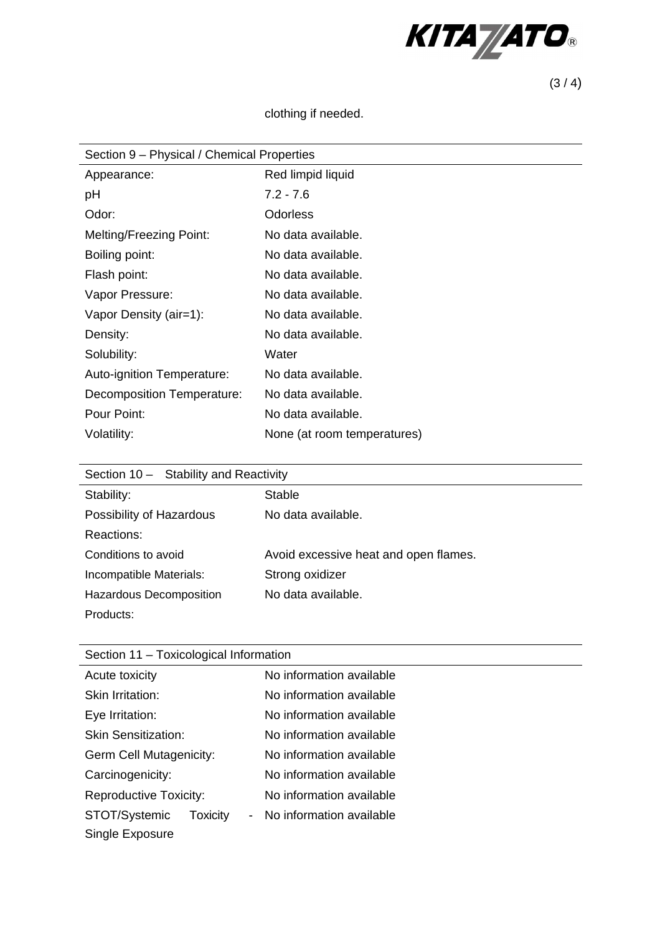

 $(3/4)$ 

## clothing if needed.

| Section 9 – Physical / Chemical Properties |                             |  |
|--------------------------------------------|-----------------------------|--|
| Appearance:                                | Red limpid liquid           |  |
| рH                                         | $7.2 - 7.6$                 |  |
| Odor:                                      | <b>Odorless</b>             |  |
| <b>Melting/Freezing Point:</b>             | No data available.          |  |
| Boiling point:                             | No data available.          |  |
| Flash point:                               | No data available.          |  |
| Vapor Pressure:                            | No data available.          |  |
| Vapor Density (air=1):                     | No data available.          |  |
| Density:                                   | No data available.          |  |
| Solubility:                                | Water                       |  |
| Auto-ignition Temperature:                 | No data available.          |  |
| Decomposition Temperature:                 | No data available.          |  |
| Pour Point:                                | No data available.          |  |
| Volatility:                                | None (at room temperatures) |  |

| Section 10 - Stability and Reactivity |                                       |  |
|---------------------------------------|---------------------------------------|--|
| Stability:                            | Stable                                |  |
| Possibility of Hazardous              | No data available.                    |  |
| Reactions:                            |                                       |  |
| Conditions to avoid                   | Avoid excessive heat and open flames. |  |
| Incompatible Materials:               | Strong oxidizer                       |  |
| Hazardous Decomposition               | No data available.                    |  |
| Products:                             |                                       |  |

| Section 11 - Toxicological Information                |                          |
|-------------------------------------------------------|--------------------------|
| Acute toxicity                                        | No information available |
| Skin Irritation:                                      | No information available |
| Eye Irritation:                                       | No information available |
| <b>Skin Sensitization:</b>                            | No information available |
| Germ Cell Mutagenicity:                               | No information available |
| Carcinogenicity:                                      | No information available |
| <b>Reproductive Toxicity:</b>                         | No information available |
| STOT/Systemic<br>Toxicity<br>$\overline{\phantom{a}}$ | No information available |
| Single Exposure                                       |                          |